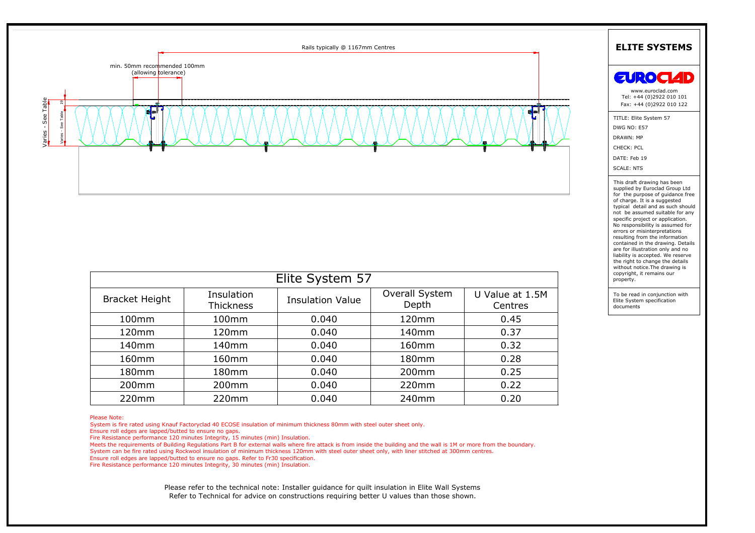

| Elite System 57       |                                |                         |                         |                            |
|-----------------------|--------------------------------|-------------------------|-------------------------|----------------------------|
| <b>Bracket Height</b> | Insulation<br><b>Thickness</b> | <b>Insulation Value</b> | Overall System<br>Depth | U Value at 1.5M<br>Centres |
| 100mm                 | 100mm                          | 0.040                   | 120mm                   | 0.45                       |
| 120mm                 | 120mm                          | 0.040                   | 140 <sub>mm</sub>       | 0.37                       |
| 140mm                 | 140mm                          | 0.040                   | 160mm                   | 0.32                       |
| 160 <sub>mm</sub>     | 160 <sub>mm</sub>              | 0.040                   | 180 <sub>mm</sub>       | 0.28                       |
| 180mm                 | 180mm                          | 0.040                   | 200mm                   | 0.25                       |
| 200 <sub>mm</sub>     | 200 <sub>mm</sub>              | 0.040                   | 220mm                   | 0.22                       |
| 220mm                 | 220mm                          | 0.040                   | 240mm                   | 0.20                       |

| specific profect or application.  |
|-----------------------------------|
| No responsibility is assumed for  |
| errors or misinterpretations      |
| resulting from the information    |
| contained in the drawing. Details |
| are for illustration only and no  |
| liability is accepted. We reserve |
| the right to change the details   |
| without notice. The drawing is    |
| copyright, it remains our         |
| property.                         |
|                                   |
|                                   |

Ensure roll edges are lapped/butted to ensure no gaps.<br>
Fire Resistance performance 120 minutes Integrity, 15 minutes (min) Insulation.<br>
Morets the requirements of Building Regulations Part B for external walls where fire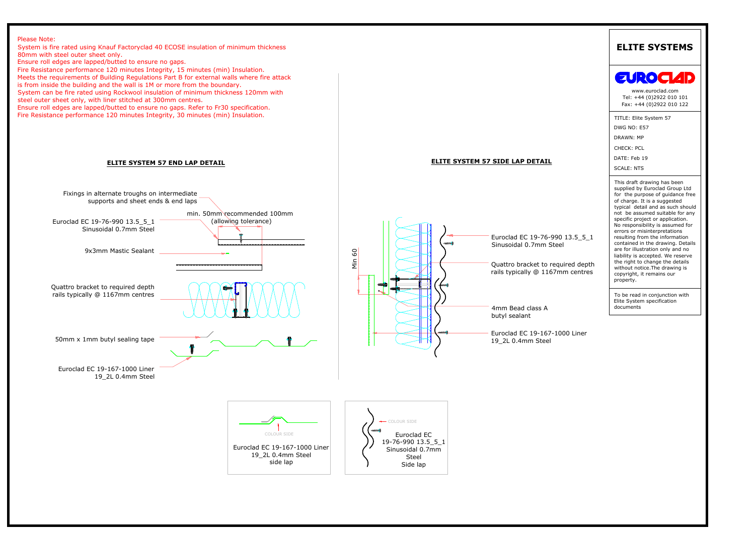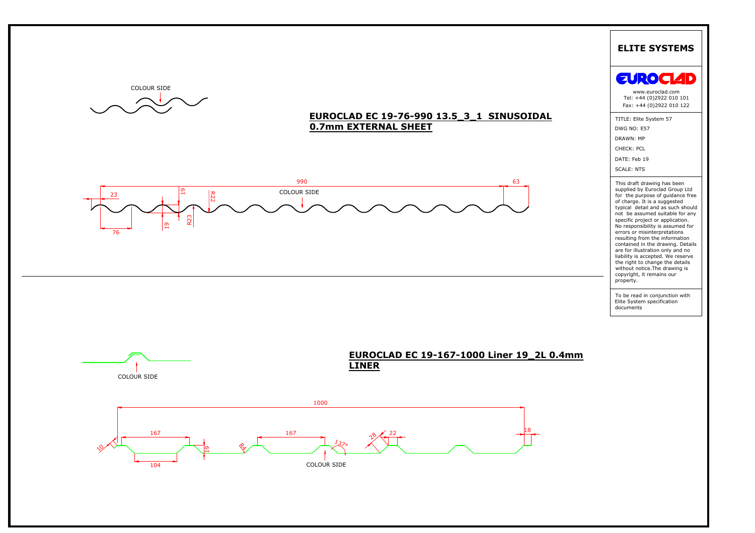







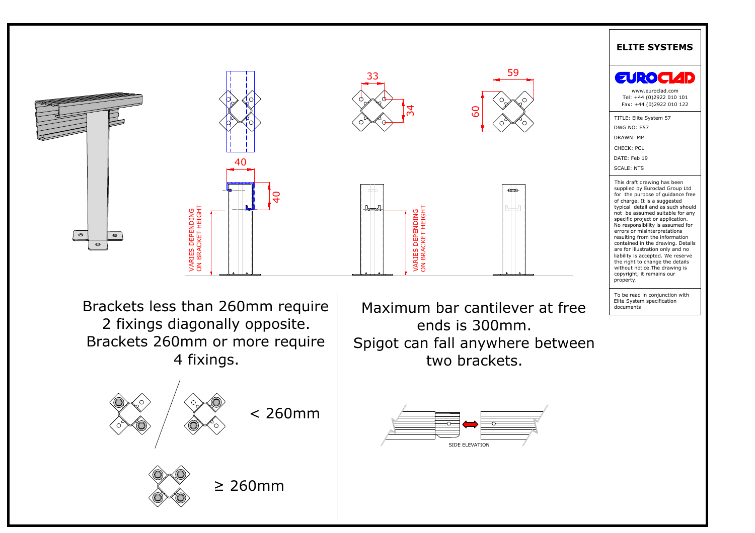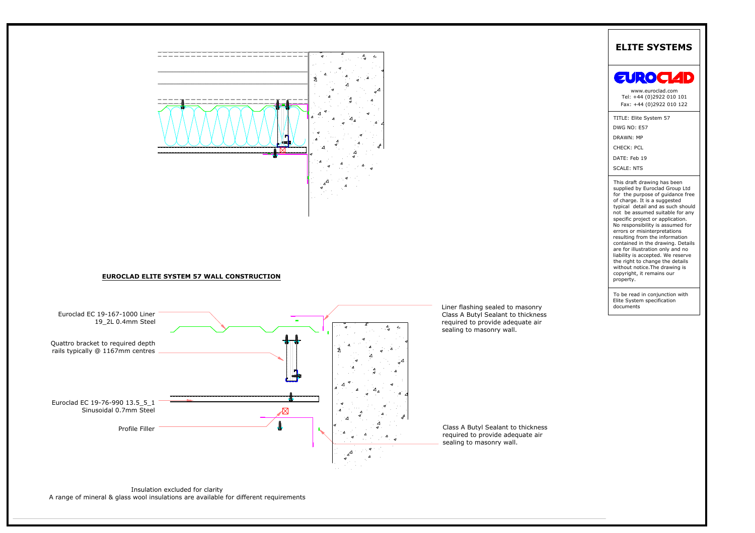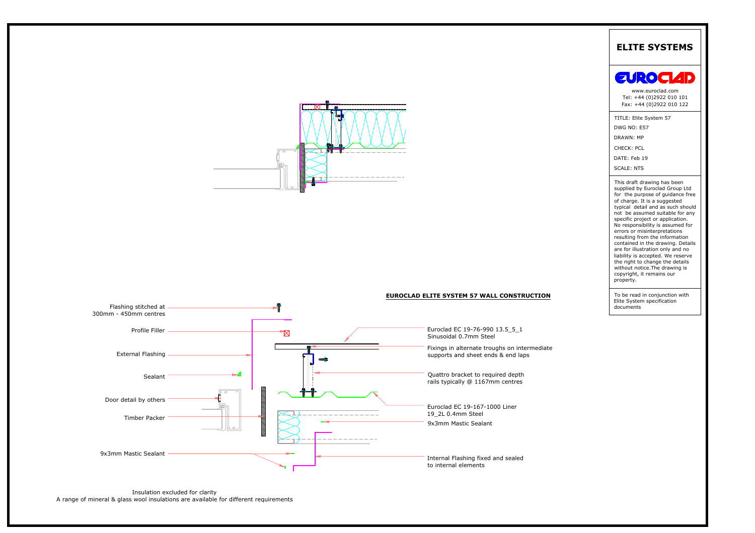



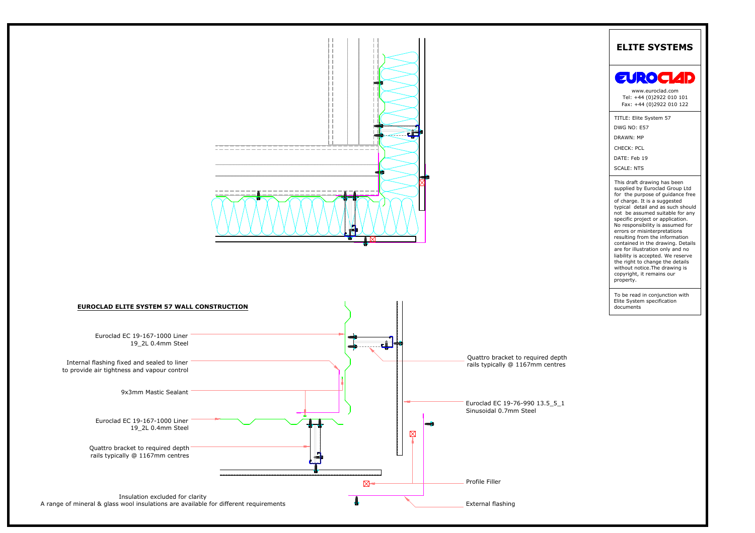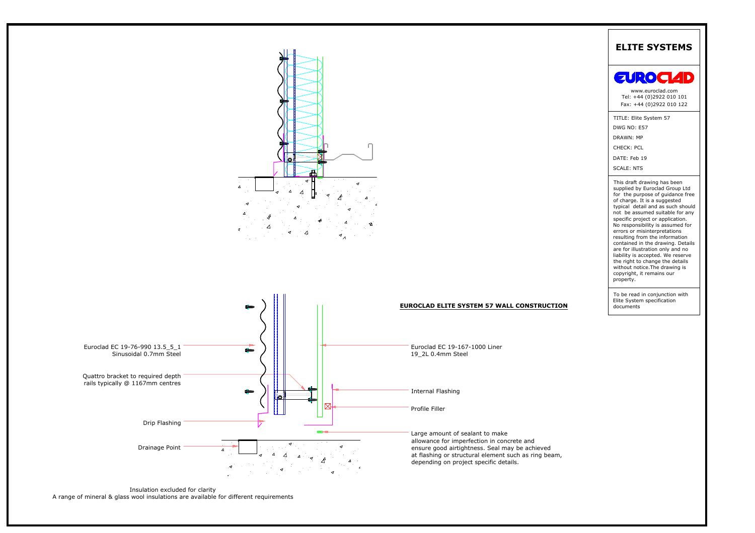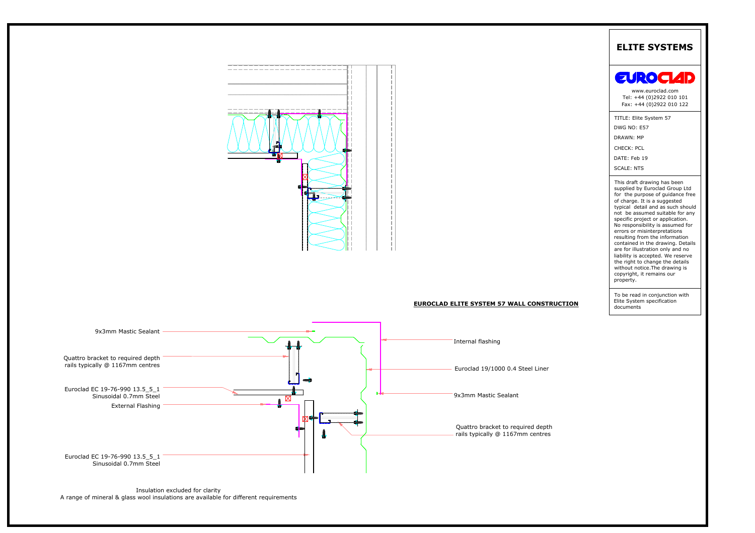

Sinusoidal 0.7mm Steel<br>Insulation excluded for clarity<br>A range of mineral & glass wool insulations are available for different requirements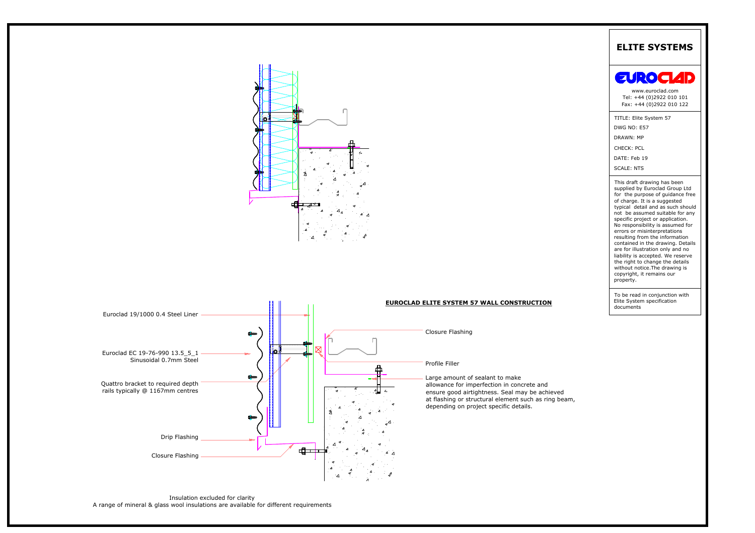



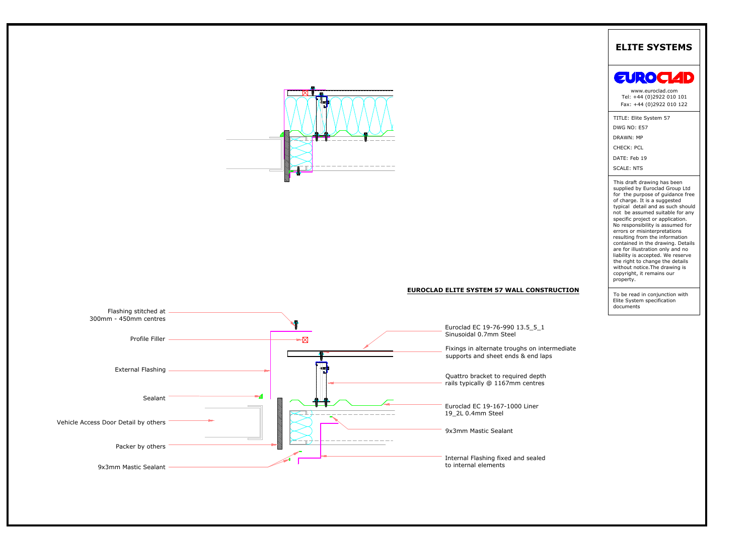

## EUROCLAD ELITE SYSTEM 57 WALL CONSTRUCTION

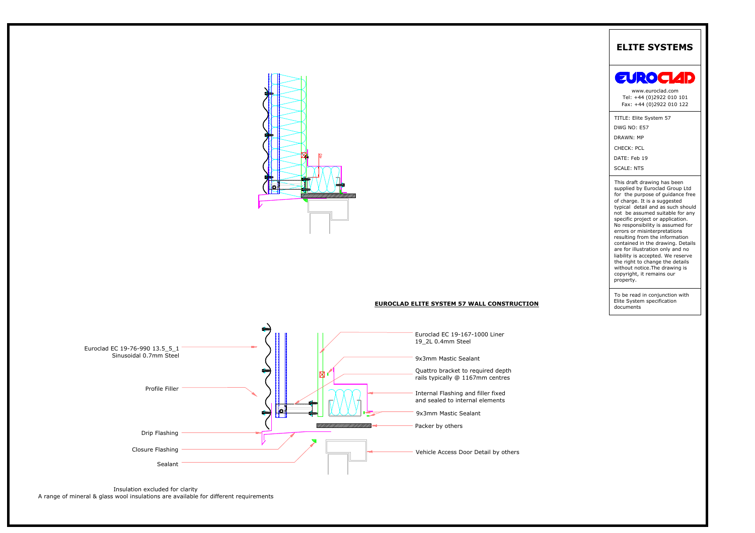

## **EUROCLAD ELITE SYSTEM 57 WALL CONSTRUCTION**



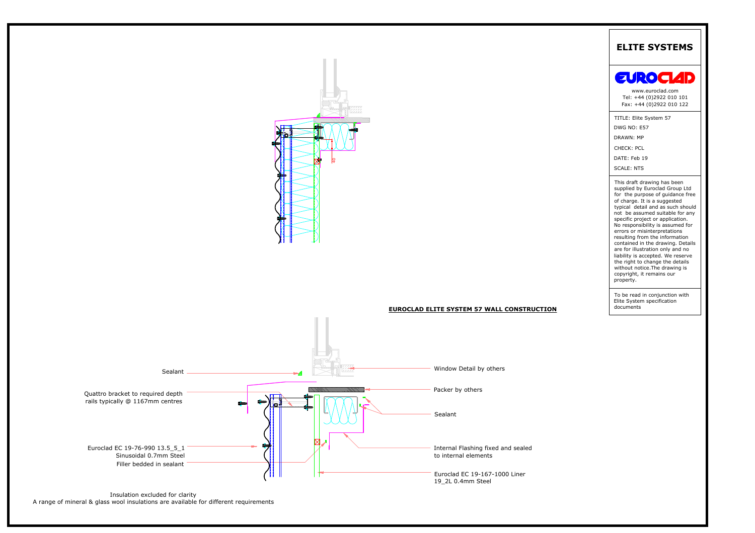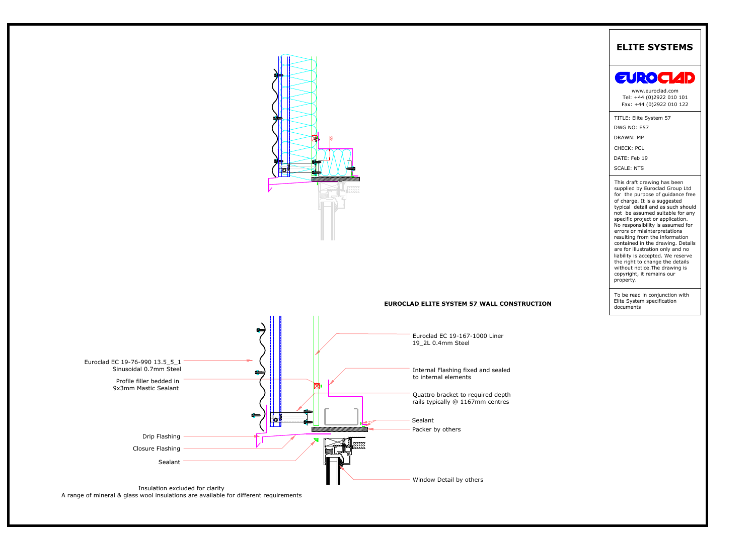

# **EUROCLAD ELITE SYSTEM 57 WALL CONSTRUCTION**



A range of mineral & glass wool insulations are available for different requirements